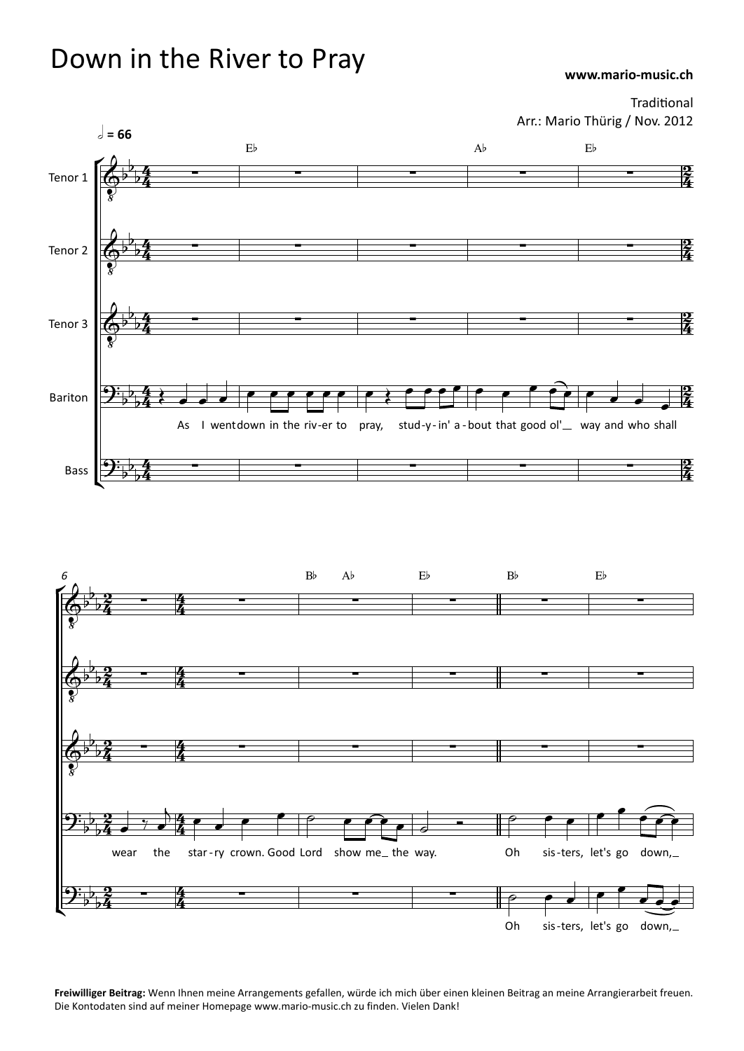## **www.mario-music.ch** Down in the River to Pray

Traditional Arr.: Mario Thürig / Nov. 2012



**Freiwilliger Beitrag:** Wenn Ihnen meine Arrangements gefallen, würde ich mich über einen kleinen Beitrag an meine Arrangierarbeit freuen. Die Kontodaten sind auf meiner Homepage www.mario-music.ch zu finden. Vielen Dank!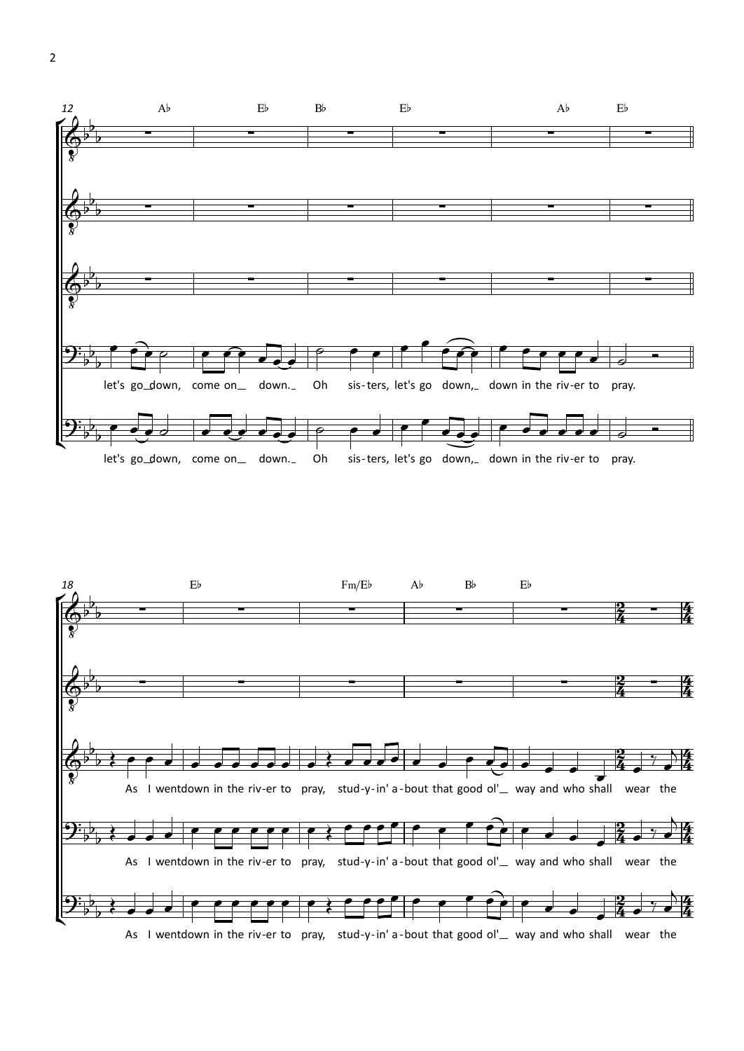

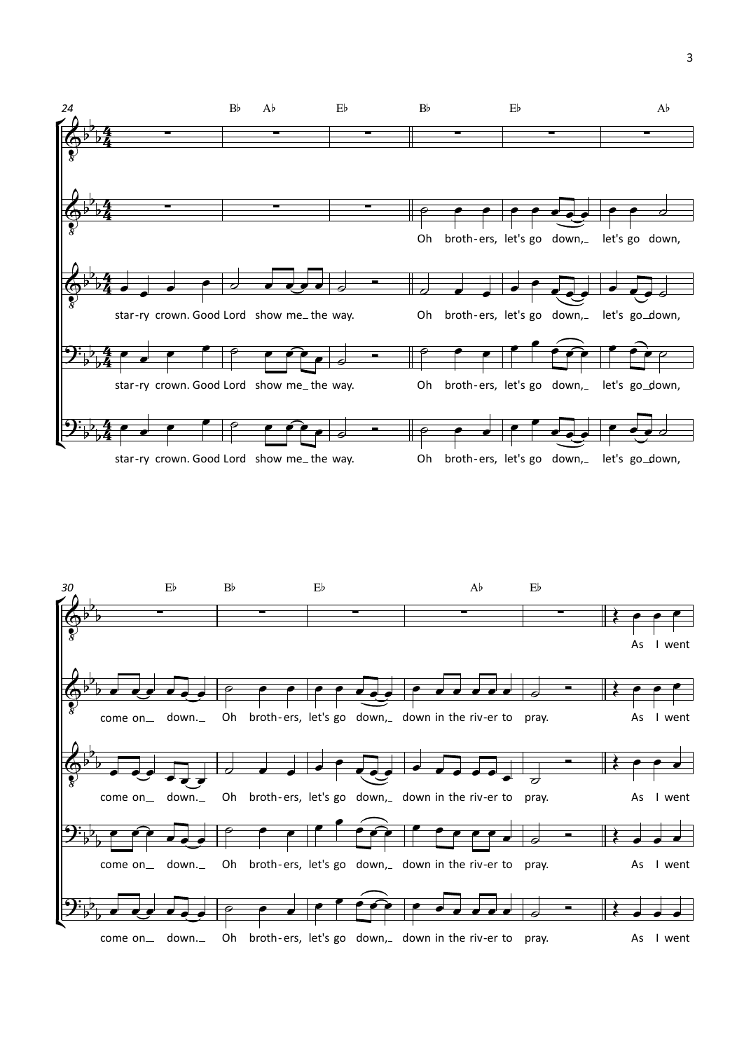

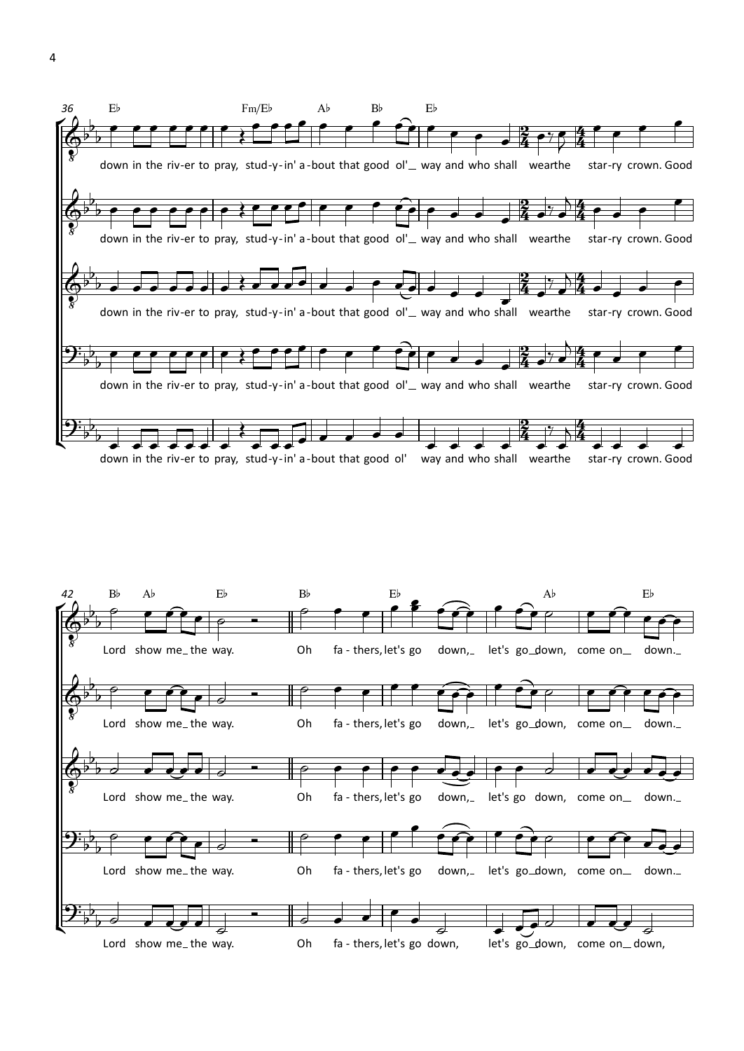

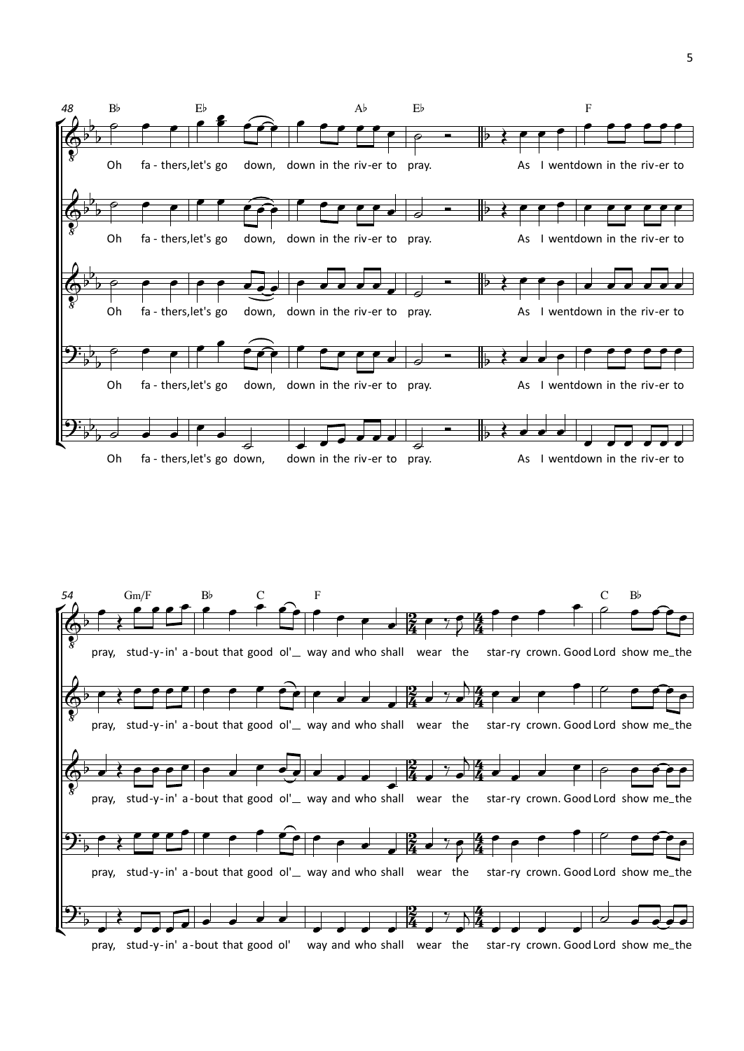